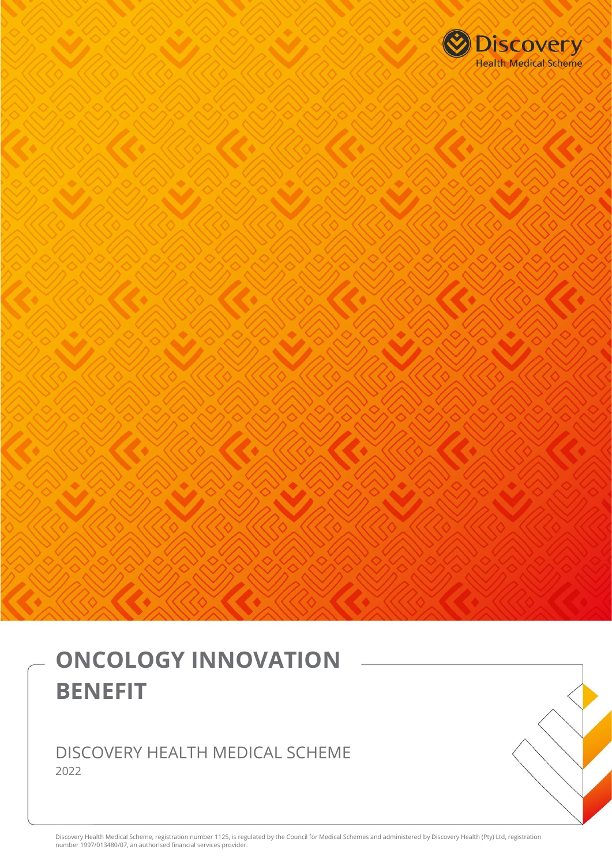

# **ONCOLOGY INNOVATION BENEFIT**

DISCOVERY HEALTH MEDICAL SCHEME 2022

Discovery Health Medical Scheme, registration number 1125, is regulated by the Council for Medical Schemes and administered by Discovery Health (Pty) Ltd, registration number 1997/013480/07, an authorised financial services provider.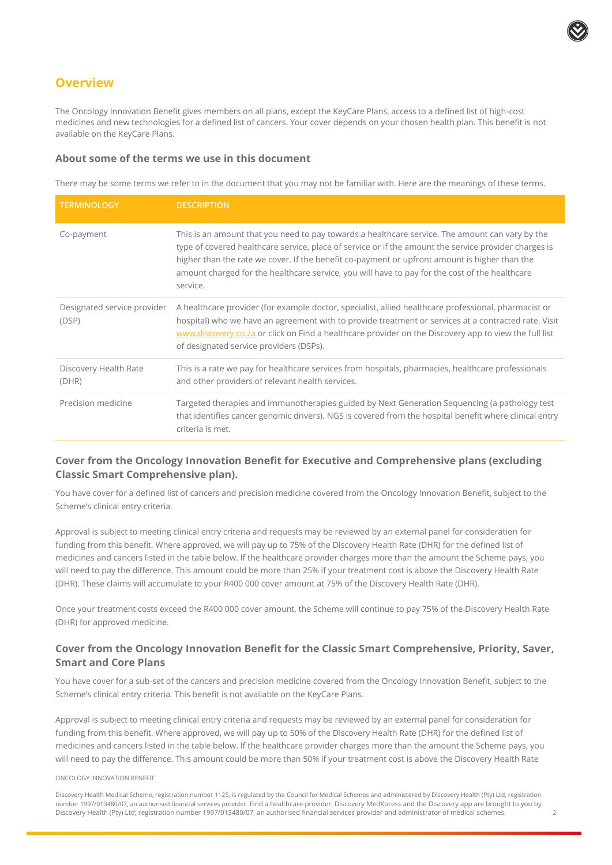

## **Overview**

The Oncology Innovation Benefit gives members on all plans, except the KeyCare Plans, access to a defined list of high-cost medicines and new technologies for a defined list of cancers. Your cover depends on your chosen health plan. This benefit is not available on the KeyCare Plans.

#### **About some of the terms we use in this document**

There may be some terms we refer to in the document that you may not be familiar with. Here are the meanings of these terms.

| <b>TERMINOLOGY</b>                   | <b>DESCRIPTION</b>                                                                                                                                                                                                                                                                                                                                                                                                      |
|--------------------------------------|-------------------------------------------------------------------------------------------------------------------------------------------------------------------------------------------------------------------------------------------------------------------------------------------------------------------------------------------------------------------------------------------------------------------------|
| Co-payment                           | This is an amount that you need to pay towards a healthcare service. The amount can vary by the<br>type of covered healthcare service, place of service or if the amount the service provider charges is<br>higher than the rate we cover. If the benefit co-payment or upfront amount is higher than the<br>amount charged for the healthcare service, you will have to pay for the cost of the healthcare<br>service. |
| Designated service provider<br>(DSP) | A healthcare provider (for example doctor, specialist, allied healthcare professional, pharmacist or<br>hospital) who we have an agreement with to provide treatment or services at a contracted rate. Visit<br>www.discovery.co.za or click on Find a healthcare provider on the Discovery app to view the full list<br>of designated service providers (DSPs).                                                        |
| Discovery Health Rate<br>(DHR)       | This is a rate we pay for healthcare services from hospitals, pharmacies, healthcare professionals<br>and other providers of relevant health services.                                                                                                                                                                                                                                                                  |
| Precision medicine                   | Targeted therapies and immunotherapies guided by Next Generation Sequencing (a pathology test<br>that identifies cancer genomic drivers). NGS is covered from the hospital benefit where clinical entry<br>criteria is met.                                                                                                                                                                                             |

### **Cover from the Oncology Innovation Benefit for Executive and Comprehensive plans (excluding Classic Smart Comprehensive plan).**

You have cover for a defined list of cancers and precision medicine covered from the Oncology Innovation Benefit, subject to the Scheme's clinical entry criteria.

Approval is subject to meeting clinical entry criteria and requests may be reviewed by an external panel for consideration for funding from this benefit. Where approved, we will pay up to 75% of the Discovery Health Rate (DHR) for the defined list of medicines and cancers listed in the table below. If the healthcare provider charges more than the amount the Scheme pays, you will need to pay the difference. This amount could be more than 25% if your treatment cost is above the Discovery Health Rate (DHR). These claims will accumulate to your R400 000 cover amount at 75% of the Discovery Health Rate (DHR).

Once your treatment costs exceed the R400 000 cover amount, the Scheme will continue to pay 75% of the Discovery Health Rate (DHR) for approved medicine.

#### **Cover from the Oncology Innovation Benefit for the Classic Smart Comprehensive, Priority, Saver, Smart and Core Plans**

You have cover for a sub-set of the cancers and precision medicine covered from the Oncology Innovation Benefit, subject to the Scheme's clinical entry criteria. This benefit is not available on the KeyCare Plans.

Approval is subject to meeting clinical entry criteria and requests may be reviewed by an external panel for consideration for funding from this benefit. Where approved, we will pay up to 50% of the Discovery Health Rate (DHR) for the defined list of medicines and cancers listed in the table below. If the healthcare provider charges more than the amount the Scheme pays, you will need to pay the difference. This amount could be more than 50% if your treatment cost is above the Discovery Health Rate

#### ONCOLOGY INNOVATION BENEFIT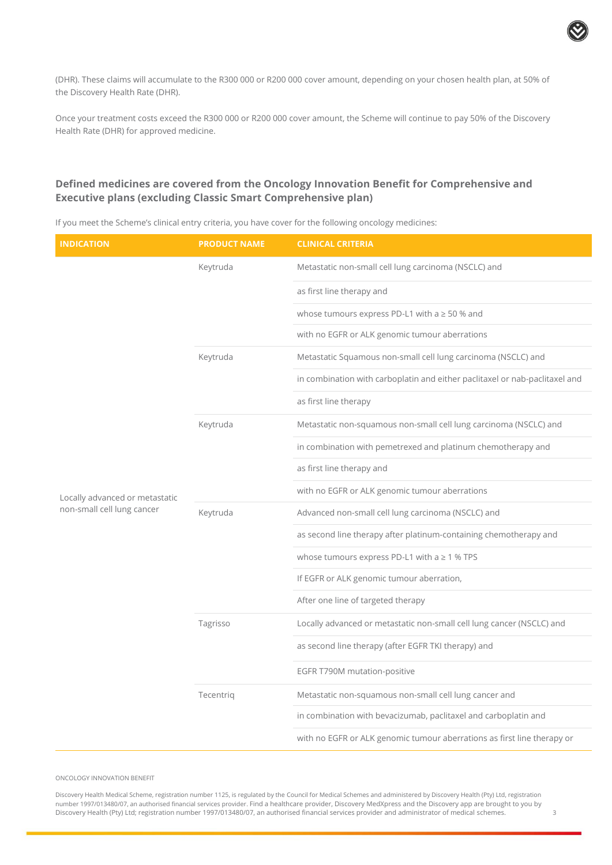

(DHR). These claims will accumulate to the R300 000 or R200 000 cover amount, depending on your chosen health plan, at 50% of the Discovery Health Rate (DHR).

Once your treatment costs exceed the R300 000 or R200 000 cover amount, the Scheme will continue to pay 50% of the Discovery Health Rate (DHR) for approved medicine.

## **Defined medicines are covered from the Oncology Innovation Benefit for Comprehensive and Executive plans (excluding Classic Smart Comprehensive plan)**

If you meet the Scheme's clinical entry criteria, you have cover for the following oncology medicines:

| <b>INDICATION</b>              | <b>PRODUCT NAME</b> | <b>CLINICAL CRITERIA</b>                                                    |
|--------------------------------|---------------------|-----------------------------------------------------------------------------|
|                                | Keytruda            | Metastatic non-small cell lung carcinoma (NSCLC) and                        |
|                                |                     | as first line therapy and                                                   |
|                                |                     | whose tumours express PD-L1 with $a \geq 50$ % and                          |
|                                |                     | with no EGFR or ALK genomic tumour aberrations                              |
|                                | Keytruda            | Metastatic Squamous non-small cell lung carcinoma (NSCLC) and               |
|                                |                     | in combination with carboplatin and either paclitaxel or nab-paclitaxel and |
|                                |                     | as first line therapy                                                       |
|                                | Keytruda            | Metastatic non-squamous non-small cell lung carcinoma (NSCLC) and           |
|                                |                     | in combination with pemetrexed and platinum chemotherapy and                |
|                                |                     | as first line therapy and                                                   |
| Locally advanced or metastatic |                     | with no EGFR or ALK genomic tumour aberrations                              |
| non-small cell lung cancer     | Keytruda            | Advanced non-small cell lung carcinoma (NSCLC) and                          |
|                                |                     | as second line therapy after platinum-containing chemotherapy and           |
|                                |                     | whose tumours express PD-L1 with $a \ge 1$ % TPS                            |
|                                |                     | If EGFR or ALK genomic tumour aberration,                                   |
|                                |                     | After one line of targeted therapy                                          |
|                                | Tagrisso            | Locally advanced or metastatic non-small cell lung cancer (NSCLC) and       |
|                                |                     | as second line therapy (after EGFR TKI therapy) and                         |
|                                |                     | EGFR T790M mutation-positive                                                |
|                                | Tecentriq           | Metastatic non-squamous non-small cell lung cancer and                      |
|                                |                     | in combination with bevacizumab, paclitaxel and carboplatin and             |
|                                |                     | with no EGFR or ALK genomic tumour aberrations as first line therapy or     |

ONCOLOGY INNOVATION BENEFIT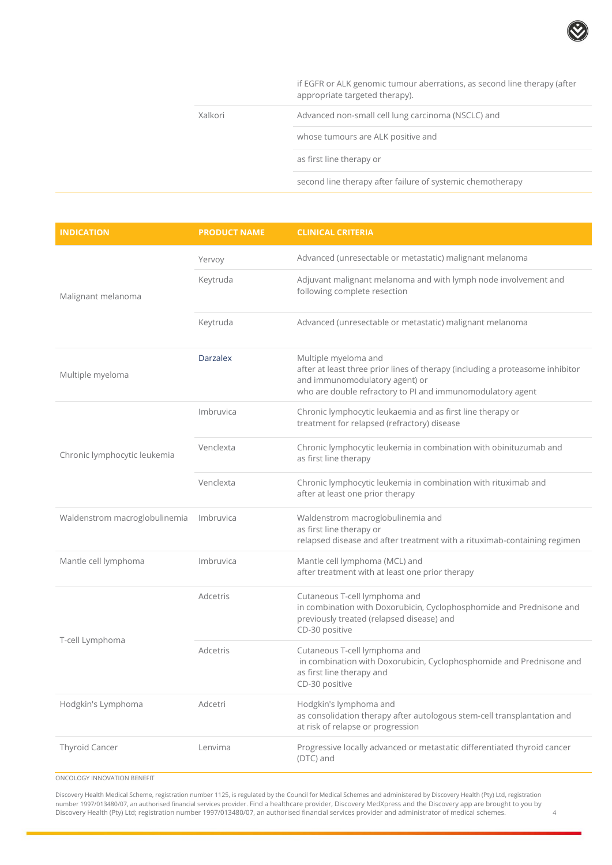

if EGFR or ALK genomic tumour aberrations, as second line therapy (after appropriate targeted therapy).

| Xalkori | Advanced non-small cell lung carcinoma (NSCLC) and         |
|---------|------------------------------------------------------------|
|         | whose tumours are ALK positive and                         |
|         | as first line therapy or                                   |
|         | second line therapy after failure of systemic chemotherapy |

| <b>INDICATION</b>             | <b>PRODUCT NAME</b> | <b>CLINICAL CRITERIA</b>                                                                                                                                                                              |
|-------------------------------|---------------------|-------------------------------------------------------------------------------------------------------------------------------------------------------------------------------------------------------|
|                               | Yervoy              | Advanced (unresectable or metastatic) malignant melanoma                                                                                                                                              |
| Malignant melanoma            | Keytruda            | Adjuvant malignant melanoma and with lymph node involvement and<br>following complete resection                                                                                                       |
|                               | Keytruda            | Advanced (unresectable or metastatic) malignant melanoma                                                                                                                                              |
| Multiple myeloma              | <b>Darzalex</b>     | Multiple myeloma and<br>after at least three prior lines of therapy (including a proteasome inhibitor<br>and immunomodulatory agent) or<br>who are double refractory to PI and immunomodulatory agent |
|                               | Imbruvica           | Chronic lymphocytic leukaemia and as first line therapy or<br>treatment for relapsed (refractory) disease                                                                                             |
| Chronic lymphocytic leukemia  | Venclexta           | Chronic lymphocytic leukemia in combination with obinituzumab and<br>as first line therapy                                                                                                            |
|                               | Venclexta           | Chronic lymphocytic leukemia in combination with rituximab and<br>after at least one prior therapy                                                                                                    |
| Waldenstrom macroglobulinemia | Imbruvica           | Waldenstrom macroglobulinemia and<br>as first line therapy or<br>relapsed disease and after treatment with a rituximab-containing regimen                                                             |
| Mantle cell lymphoma          | Imbruvica           | Mantle cell lymphoma (MCL) and<br>after treatment with at least one prior therapy                                                                                                                     |
| T-cell Lymphoma               | Adcetris            | Cutaneous T-cell lymphoma and<br>in combination with Doxorubicin, Cyclophosphomide and Prednisone and<br>previously treated (relapsed disease) and<br>CD-30 positive                                  |
|                               | Adcetris            | Cutaneous T-cell lymphoma and<br>in combination with Doxorubicin, Cyclophosphomide and Prednisone and<br>as first line therapy and<br>CD-30 positive                                                  |
| Hodgkin's Lymphoma            | Adcetri             | Hodgkin's lymphoma and<br>as consolidation therapy after autologous stem-cell transplantation and<br>at risk of relapse or progression                                                                |
| Thyroid Cancer                | Lenvima             | Progressive locally advanced or metastatic differentiated thyroid cancer<br>(DTC) and                                                                                                                 |

ONCOLOGY INNOVATION BENEFIT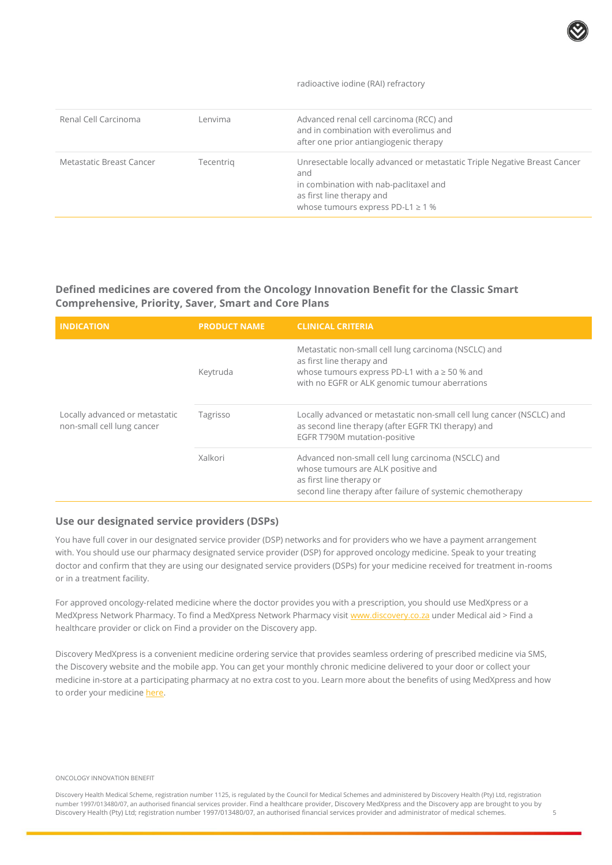#### radioactive iodine (RAI) refractory

| Renal Cell Carcinoma     | Lenvima   | Advanced renal cell carcinoma (RCC) and<br>and in combination with everolimus and<br>after one prior antiangiogenic therapy                                                                       |
|--------------------------|-----------|---------------------------------------------------------------------------------------------------------------------------------------------------------------------------------------------------|
| Metastatic Breast Cancer | Tecentrig | Unresectable locally advanced or metastatic Triple Negative Breast Cancer<br>and<br>in combination with nab-paclitaxel and<br>as first line therapy and<br>whose tumours express PD-L1 $\geq$ 1 % |

### **Defined medicines are covered from the Oncology Innovation Benefit for the Classic Smart Comprehensive, Priority, Saver, Smart and Core Plans**

| <b>INDICATION</b>                                            | <b>PRODUCT NAME</b> | <b>CLINICAL CRITERIA</b>                                                                                                                                                                  |
|--------------------------------------------------------------|---------------------|-------------------------------------------------------------------------------------------------------------------------------------------------------------------------------------------|
| Locally advanced or metastatic<br>non-small cell lung cancer | Keytruda            | Metastatic non-small cell lung carcinoma (NSCLC) and<br>as first line therapy and<br>whose tumours express PD-L1 with $a \geq 50$ % and<br>with no EGFR or ALK genomic tumour aberrations |
|                                                              | Tagrisso            | Locally advanced or metastatic non-small cell lung cancer (NSCLC) and<br>as second line therapy (after EGFR TKI therapy) and<br>EGFR T790M mutation-positive                              |
|                                                              | Xalkori             | Advanced non-small cell lung carcinoma (NSCLC) and<br>whose tumours are ALK positive and<br>as first line therapy or<br>second line therapy after failure of systemic chemotherapy        |

#### **Use our designated service providers (DSPs)**

You have full cover in our designated service provider (DSP) networks and for providers who we have a payment arrangement with. You should use our pharmacy designated service provider (DSP) for approved oncology medicine. Speak to your treating doctor and confirm that they are using our designated service providers (DSPs) for your medicine received for treatment in-rooms or in a treatment facility.

For approved oncology-related medicine where the doctor provides you with a prescription, you should use MedXpress or a MedXpress Network Pharmacy. To find a MedXpress Network Pharmacy visit [www.discovery.co.za](http://www.discovery.co.za/) under Medical aid > Find a healthcare provider or click on Find a provider on the Discovery app.

Discovery MedXpress is a convenient medicine ordering service that provides seamless ordering of prescribed medicine via SMS, the Discovery website and the mobile app. You can get your monthly chronic medicine delivered to your door or collect your medicine in-store at a participating pharmacy at no extra cost to you. Learn more about the benefits of using MedXpress and how to order your medicine [here.](https://www.discovery.co.za/wcm/discoverycoza/assets/medical-aid/benefit-information/2022/dh-medxpress-one-pager-2022.pdf)

#### ONCOLOGY INNOVATION BENEFIT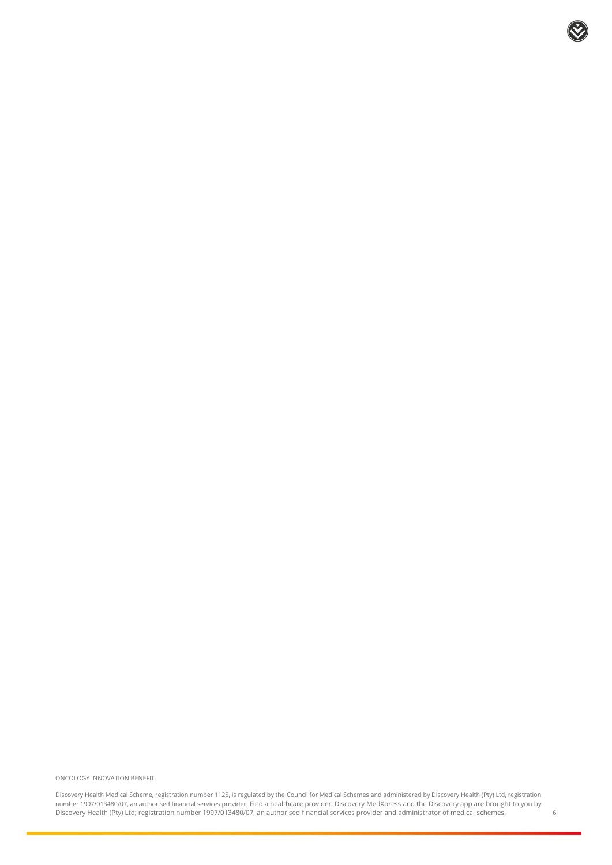